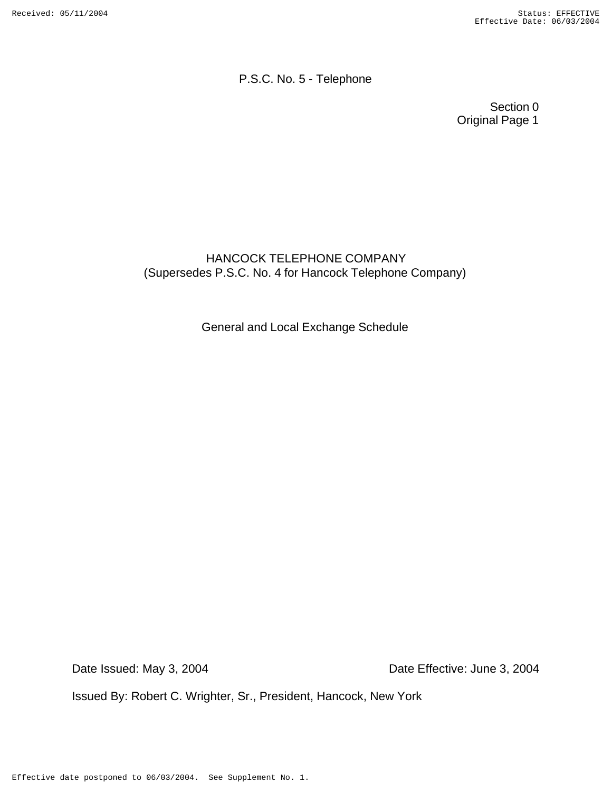P.S.C. No. 5 - Telephone

Section 0 Original Page 1

# HANCOCK TELEPHONE COMPANY (Supersedes P.S.C. No. 4 for Hancock Telephone Company)

General and Local Exchange Schedule

Date Issued: May 3, 2004 Date Effective: June 3, 2004

Issued By: Robert C. Wrighter, Sr., President, Hancock, New York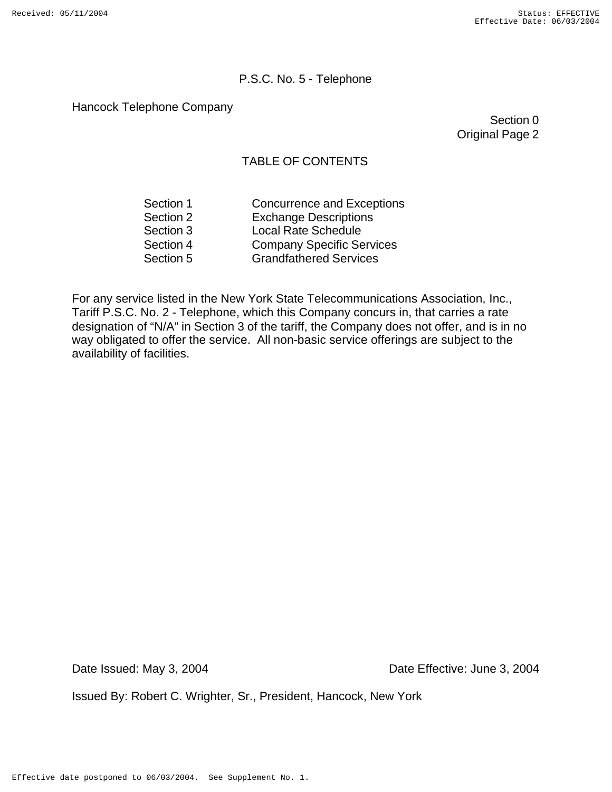#### P.S.C. No. 5 - Telephone

Hancock Telephone Company

Section 0 Original Page 2

### TABLE OF CONTENTS

| Section 1 | <b>Concurrence and Exceptions</b> |
|-----------|-----------------------------------|
| Section 2 | <b>Exchange Descriptions</b>      |
| Section 3 | <b>Local Rate Schedule</b>        |
| Section 4 | <b>Company Specific Services</b>  |
| Section 5 | <b>Grandfathered Services</b>     |

For any service listed in the New York State Telecommunications Association, Inc., Tariff P.S.C. No. 2 - Telephone, which this Company concurs in, that carries a rate designation of "N/A" in Section 3 of the tariff, the Company does not offer, and is in no way obligated to offer the service. All non-basic service offerings are subject to the availability of facilities.

Date Issued: May 3, 2004 Date Effective: June 3, 2004

Issued By: Robert C. Wrighter, Sr., President, Hancock, New York